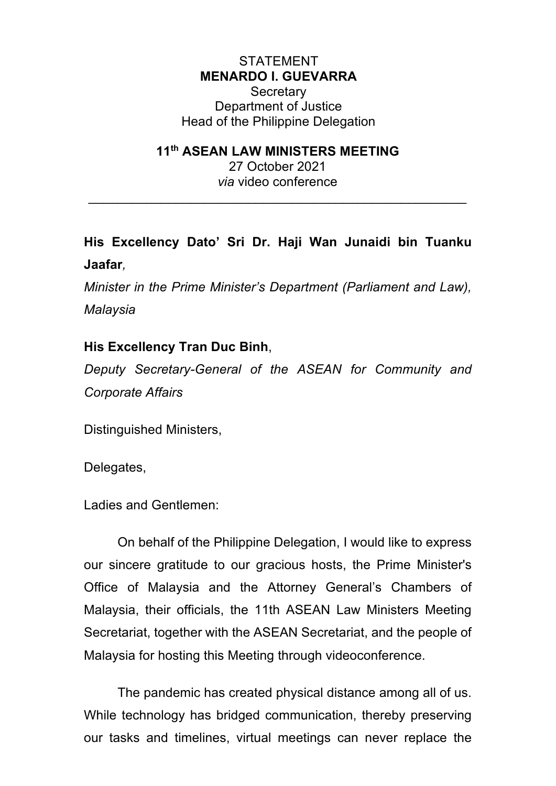## **STATEMENT MENARDO I. GUEVARRA**

**Secretary** Department of Justice Head of the Philippine Delegation

## **11th ASEAN LAW MINISTERS MEETING**

27 October 2021 *via* video conference

 $\mathcal{L}_\text{max}$  and  $\mathcal{L}_\text{max}$  and  $\mathcal{L}_\text{max}$  and  $\mathcal{L}_\text{max}$  and  $\mathcal{L}_\text{max}$ 

## **His Excellency Dato' Sri Dr. Haji Wan Junaidi bin Tuanku Jaafar***,*

*Minister in the Prime Minister's Department (Parliament and Law), Malaysia*

## **His Excellency Tran Duc Binh**,

*Deputy Secretary-General of the ASEAN for Community and Corporate Affairs*

Distinguished Ministers,

Delegates,

Ladies and Gentlemen:

On behalf of the Philippine Delegation, I would like to express our sincere gratitude to our gracious hosts, the Prime Minister's Office of Malaysia and the Attorney General's Chambers of Malaysia, their officials, the 11th ASEAN Law Ministers Meeting Secretariat, together with the ASEAN Secretariat, and the people of Malaysia for hosting this Meeting through videoconference.

The pandemic has created physical distance among all of us. While technology has bridged communication, thereby preserving our tasks and timelines, virtual meetings can never replace the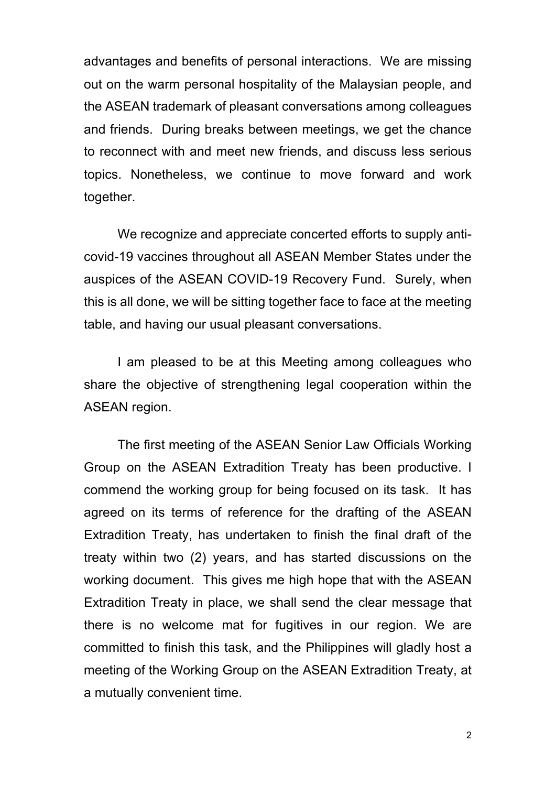advantages and benefits of personal interactions. We are missing out on the warm personal hospitality of the Malaysian people, and the ASEAN trademark of pleasant conversations among colleagues and friends. During breaks between meetings, we get the chance to reconnect with and meet new friends, and discuss less serious topics. Nonetheless, we continue to move forward and work together.

We recognize and appreciate concerted efforts to supply anticovid-19 vaccines throughout all ASEAN Member States under the auspices of the ASEAN COVID-19 Recovery Fund. Surely, when this is all done, we will be sitting together face to face at the meeting table, and having our usual pleasant conversations.

I am pleased to be at this Meeting among colleagues who share the objective of strengthening legal cooperation within the ASEAN region.

The first meeting of the ASEAN Senior Law Officials Working Group on the ASEAN Extradition Treaty has been productive. I commend the working group for being focused on its task. It has agreed on its terms of reference for the drafting of the ASEAN Extradition Treaty, has undertaken to finish the final draft of the treaty within two (2) years, and has started discussions on the working document. This gives me high hope that with the ASEAN Extradition Treaty in place, we shall send the clear message that there is no welcome mat for fugitives in our region. We are committed to finish this task, and the Philippines will gladly host a meeting of the Working Group on the ASEAN Extradition Treaty, at a mutually convenient time.

2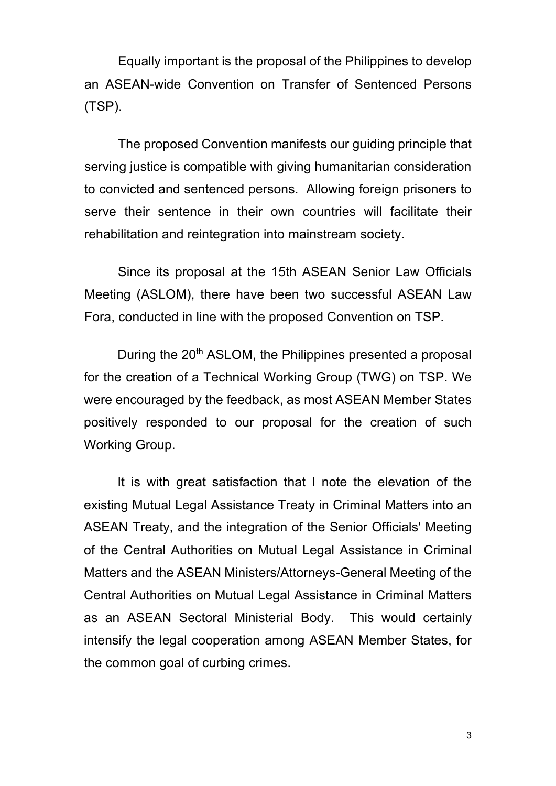Equally important is the proposal of the Philippines to develop an ASEAN-wide Convention on Transfer of Sentenced Persons (TSP).

The proposed Convention manifests our guiding principle that serving justice is compatible with giving humanitarian consideration to convicted and sentenced persons. Allowing foreign prisoners to serve their sentence in their own countries will facilitate their rehabilitation and reintegration into mainstream society.

Since its proposal at the 15th ASEAN Senior Law Officials Meeting (ASLOM), there have been two successful ASEAN Law Fora, conducted in line with the proposed Convention on TSP.

During the 20<sup>th</sup> ASLOM, the Philippines presented a proposal for the creation of a Technical Working Group (TWG) on TSP. We were encouraged by the feedback, as most ASEAN Member States positively responded to our proposal for the creation of such Working Group.

It is with great satisfaction that I note the elevation of the existing Mutual Legal Assistance Treaty in Criminal Matters into an ASEAN Treaty, and the integration of the Senior Officials' Meeting of the Central Authorities on Mutual Legal Assistance in Criminal Matters and the ASEAN Ministers/Attorneys-General Meeting of the Central Authorities on Mutual Legal Assistance in Criminal Matters as an ASEAN Sectoral Ministerial Body. This would certainly intensify the legal cooperation among ASEAN Member States, for the common goal of curbing crimes.